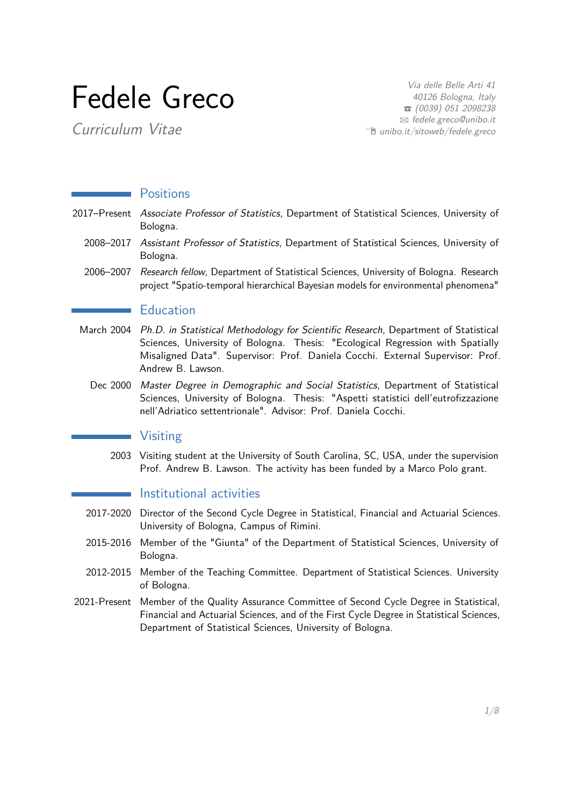# Fedele Greco

Curriculum Vitae

Via delle Belle Arti 41 40126 Bologna, Italy  $\bullet$  (0039) 051 2098238 B [fedele.greco@unibo.it](mailto:fedele.greco@unibo.it)  $^{\circ}$  [unibo.it/sitoweb/fedele.greco](http://unibo.it/sitoweb/fedele.greco)

#### **Positions**

- 2017–Present Associate Professor of Statistics, Department of Statistical Sciences, University of Bologna.
	- 2008–2017 Assistant Professor of Statistics, Department of Statistical Sciences, University of Bologna.
	- 2006–2007 Research fellow, Department of Statistical Sciences, University of Bologna. Research project "Spatio-temporal hierarchical Bayesian models for environmental phenomena"

#### **Education**

- March 2004 Ph.D. in Statistical Methodology for Scientific Research, Department of Statistical Sciences, University of Bologna. Thesis: "Ecological Regression with Spatially Misaligned Data". Supervisor: Prof. Daniela Cocchi. External Supervisor: Prof. Andrew B. Lawson.
	- Dec 2000 Master Degree in Demographic and Social Statistics, Department of Statistical Sciences, University of Bologna. Thesis: "Aspetti statistici dell'eutrofizzazione nell'Adriatico settentrionale". Advisor: Prof. Daniela Cocchi.

#### Visiting

2003 Visiting student at the University of South Carolina, SC, USA, under the supervision Prof. Andrew B. Lawson. The activity has been funded by a Marco Polo grant.

### **Institutional activities**

- 2017-2020 Director of the Second Cycle Degree in Statistical, Financial and Actuarial Sciences. University of Bologna, Campus of Rimini.
- 2015-2016 Member of the "Giunta" of the Department of Statistical Sciences, University of Bologna.
- 2012-2015 Member of the Teaching Committee. Department of Statistical Sciences. University of Bologna.
- 2021-Present Member of the Quality Assurance Committee of Second Cycle Degree in Statistical, Financial and Actuarial Sciences, and of the First Cycle Degree in Statistical Sciences, Department of Statistical Sciences, University of Bologna.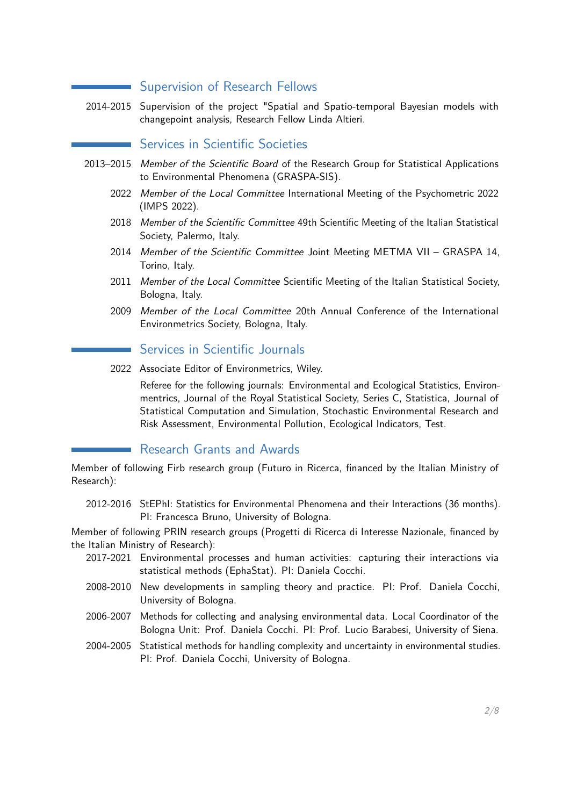#### Supervision of Research Fellows

2014-2015 Supervision of the project "Spatial and Spatio-temporal Bayesian models with changepoint analysis, Research Fellow Linda Altieri.

## Services in Scientific Societies

- 2013–2015 Member of the Scientific Board of the Research Group for Statistical Applications to Environmental Phenomena (GRASPA-SIS).
	- 2022 Member of the Local Committee International Meeting of the Psychometric 2022 (IMPS 2022).
	- 2018 Member of the Scientific Committee 49th Scientific Meeting of the Italian Statistical Society, Palermo, Italy.
	- 2014 Member of the Scientific Committee Joint Meeting METMA VII GRASPA 14, Torino, Italy.
	- 2011 Member of the Local Committee Scientific Meeting of the Italian Statistical Society. Bologna, Italy.
	- 2009 Member of the Local Committee 20th Annual Conference of the International Environmetrics Society, Bologna, Italy.

#### Services in Scientific Journals

2022 Associate Editor of Environmetrics, Wiley.

Referee for the following journals: Environmental and Ecological Statistics, Environmentrics, Journal of the Royal Statistical Society, Series C, Statistica, Journal of Statistical Computation and Simulation, Stochastic Environmental Research and Risk Assessment, Environmental Pollution, Ecological Indicators, Test.

#### Research Grants and Awards

Member of following Firb research group (Futuro in Ricerca, financed by the Italian Ministry of Research):

2012-2016 StEPhI: Statistics for Environmental Phenomena and their Interactions (36 months). PI: Francesca Bruno, University of Bologna.

Member of following PRIN research groups (Progetti di Ricerca di Interesse Nazionale, financed by the Italian Ministry of Research):

- 2017-2021 Environmental processes and human activities: capturing their interactions via statistical methods (EphaStat). PI: Daniela Cocchi.
- 2008-2010 New developments in sampling theory and practice. PI: Prof. Daniela Cocchi, University of Bologna.
- 2006-2007 Methods for collecting and analysing environmental data. Local Coordinator of the Bologna Unit: Prof. Daniela Cocchi. PI: Prof. Lucio Barabesi, University of Siena.
- 2004-2005 Statistical methods for handling complexity and uncertainty in environmental studies. PI: Prof. Daniela Cocchi, University of Bologna.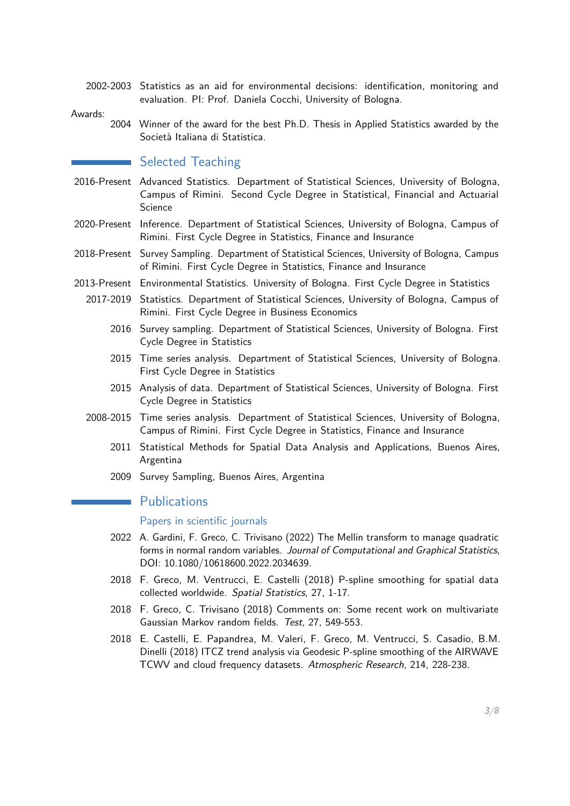2002-2003 Statistics as an aid for environmental decisions: identification, monitoring and evaluation. PI: Prof. Daniela Cocchi, University of Bologna.

Awards:

2004 Winner of the award for the best Ph.D. Thesis in Applied Statistics awarded by the Società Italiana di Statistica.

# Selected Teaching

- 2016-Present Advanced Statistics. Department of Statistical Sciences, University of Bologna, Campus of Rimini. Second Cycle Degree in Statistical, Financial and Actuarial Science
- 2020-Present Inference. Department of Statistical Sciences, University of Bologna, Campus of Rimini. First Cycle Degree in Statistics, Finance and Insurance
- 2018-Present Survey Sampling. Department of Statistical Sciences, University of Bologna, Campus of Rimini. First Cycle Degree in Statistics, Finance and Insurance
- 2013-Present Environmental Statistics. University of Bologna. First Cycle Degree in Statistics
	- 2017-2019 Statistics. Department of Statistical Sciences, University of Bologna, Campus of Rimini. First Cycle Degree in Business Economics
		- 2016 Survey sampling. Department of Statistical Sciences, University of Bologna. First Cycle Degree in Statistics
		- 2015 Time series analysis. Department of Statistical Sciences, University of Bologna. First Cycle Degree in Statistics
		- 2015 Analysis of data. Department of Statistical Sciences, University of Bologna. First Cycle Degree in Statistics
	- 2008-2015 Time series analysis. Department of Statistical Sciences, University of Bologna, Campus of Rimini. First Cycle Degree in Statistics, Finance and Insurance
		- 2011 Statistical Methods for Spatial Data Analysis and Applications, Buenos Aires, Argentina
		- 2009 Survey Sampling, Buenos Aires, Argentina

#### **Publications**

#### Papers in scientific journals

- 2022 A. Gardini, F. Greco, C. Trivisano (2022) The Mellin transform to manage quadratic forms in normal random variables. Journal of Computational and Graphical Statistics, DOI: 10.1080/10618600.2022.2034639.
- 2018 F. Greco, M. Ventrucci, E. Castelli (2018) P-spline smoothing for spatial data collected worldwide. Spatial Statistics, 27, 1-17.
- 2018 F. Greco, C. Trivisano (2018) Comments on: Some recent work on multivariate Gaussian Markov random fields. Test, 27, 549-553.
- 2018 E. Castelli, E. Papandrea, M. Valeri, F. Greco, M. Ventrucci, S. Casadio, B.M. Dinelli (2018) ITCZ trend analysis via Geodesic P-spline smoothing of the AIRWAVE TCWV and cloud frequency datasets. Atmospheric Research, 214, 228-238.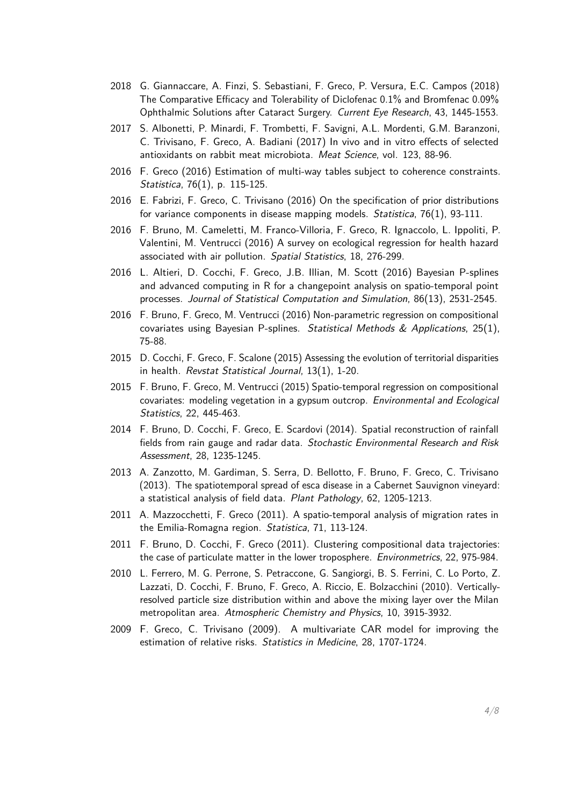- 2018 G. Giannaccare, A. Finzi, S. Sebastiani, F. Greco, P. Versura, E.C. Campos (2018) The Comparative Efficacy and Tolerability of Diclofenac 0.1% and Bromfenac 0.09% Ophthalmic Solutions after Cataract Surgery. Current Eye Research, 43, 1445-1553.
- 2017 S. Albonetti, P. Minardi, F. Trombetti, F. Savigni, A.L. Mordenti, G.M. Baranzoni, C. Trivisano, F. Greco, A. Badiani (2017) In vivo and in vitro effects of selected antioxidants on rabbit meat microbiota. Meat Science, vol. 123, 88-96.
- 2016 F. Greco (2016) Estimation of multi-way tables subject to coherence constraints. Statistica, 76(1), p. 115-125.
- 2016 E. Fabrizi, F. Greco, C. Trivisano (2016) On the specification of prior distributions for variance components in disease mapping models. Statistica, 76(1), 93-111.
- 2016 F. Bruno, M. Cameletti, M. Franco-Villoria, F. Greco, R. Ignaccolo, L. Ippoliti, P. Valentini, M. Ventrucci (2016) A survey on ecological regression for health hazard associated with air pollution. Spatial Statistics, 18, 276-299.
- 2016 L. Altieri, D. Cocchi, F. Greco, J.B. Illian, M. Scott (2016) Bayesian P-splines and advanced computing in R for a changepoint analysis on spatio-temporal point processes. Journal of Statistical Computation and Simulation, 86(13), 2531-2545.
- 2016 F. Bruno, F. Greco, M. Ventrucci (2016) Non-parametric regression on compositional covariates using Bayesian P-splines. Statistical Methods & Applications, 25(1), 75-88.
- 2015 D. Cocchi, F. Greco, F. Scalone (2015) Assessing the evolution of territorial disparities in health. Revstat Statistical Journal, 13(1), 1-20.
- 2015 F. Bruno, F. Greco, M. Ventrucci (2015) Spatio-temporal regression on compositional covariates: modeling vegetation in a gypsum outcrop. Environmental and Ecological Statistics, 22, 445-463.
- 2014 F. Bruno, D. Cocchi, F. Greco, E. Scardovi (2014). Spatial reconstruction of rainfall fields from rain gauge and radar data. Stochastic Environmental Research and Risk Assessment, 28, 1235-1245.
- 2013 A. Zanzotto, M. Gardiman, S. Serra, D. Bellotto, F. Bruno, F. Greco, C. Trivisano (2013). The spatiotemporal spread of esca disease in a Cabernet Sauvignon vineyard: a statistical analysis of field data. Plant Pathology, 62, 1205-1213.
- 2011 A. Mazzocchetti, F. Greco (2011). A spatio-temporal analysis of migration rates in the Emilia-Romagna region. Statistica, 71, 113-124.
- 2011 F. Bruno, D. Cocchi, F. Greco (2011). Clustering compositional data trajectories: the case of particulate matter in the lower troposphere. Environmetrics, 22, 975-984.
- 2010 L. Ferrero, M. G. Perrone, S. Petraccone, G. Sangiorgi, B. S. Ferrini, C. Lo Porto, Z. Lazzati, D. Cocchi, F. Bruno, F. Greco, A. Riccio, E. Bolzacchini (2010). Verticallyresolved particle size distribution within and above the mixing layer over the Milan metropolitan area. Atmospheric Chemistry and Physics, 10, 3915-3932.
- 2009 F. Greco, C. Trivisano (2009). A multivariate CAR model for improving the estimation of relative risks. Statistics in Medicine, 28, 1707-1724.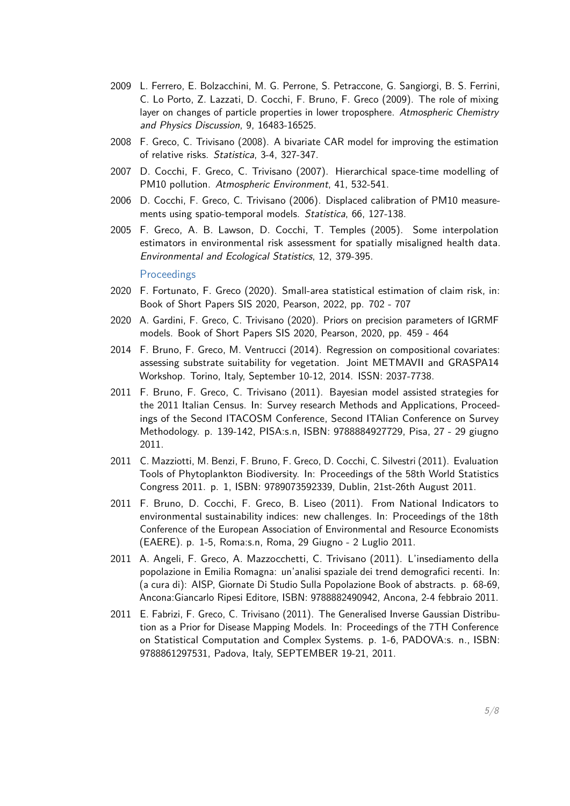- 2009 L. Ferrero, E. Bolzacchini, M. G. Perrone, S. Petraccone, G. Sangiorgi, B. S. Ferrini, C. Lo Porto, Z. Lazzati, D. Cocchi, F. Bruno, F. Greco (2009). The role of mixing layer on changes of particle properties in lower troposphere. Atmospheric Chemistry and Physics Discussion, 9, 16483-16525.
- 2008 F. Greco, C. Trivisano (2008). A bivariate CAR model for improving the estimation of relative risks. Statistica, 3-4, 327-347.
- 2007 D. Cocchi, F. Greco, C. Trivisano (2007). Hierarchical space-time modelling of PM10 pollution. Atmospheric Environment, 41, 532-541.
- 2006 D. Cocchi, F. Greco, C. Trivisano (2006). Displaced calibration of PM10 measurements using spatio-temporal models. Statistica, 66, 127-138.
- 2005 F. Greco, A. B. Lawson, D. Cocchi, T. Temples (2005). Some interpolation estimators in environmental risk assessment for spatially misaligned health data. Environmental and Ecological Statistics, 12, 379-395.

**Proceedings** 

- 2020 F. Fortunato, F. Greco (2020). Small-area statistical estimation of claim risk, in: Book of Short Papers SIS 2020, Pearson, 2022, pp. 702 - 707
- 2020 A. Gardini, F. Greco, C. Trivisano (2020). Priors on precision parameters of IGRMF models. Book of Short Papers SIS 2020, Pearson, 2020, pp. 459 - 464
- 2014 F. Bruno, F. Greco, M. Ventrucci (2014). Regression on compositional covariates: assessing substrate suitability for vegetation. Joint METMAVII and GRASPA14 Workshop. Torino, Italy, September 10-12, 2014. ISSN: 2037-7738.
- 2011 F. Bruno, F. Greco, C. Trivisano (2011). Bayesian model assisted strategies for the 2011 Italian Census. In: Survey research Methods and Applications, Proceedings of the Second ITACOSM Conference, Second ITAlian Conference on Survey Methodology. p. 139-142, PISA:s.n, ISBN: 9788884927729, Pisa, 27 - 29 giugno 2011.
- 2011 C. Mazziotti, M. Benzi, F. Bruno, F. Greco, D. Cocchi, C. Silvestri (2011). Evaluation Tools of Phytoplankton Biodiversity. In: Proceedings of the 58th World Statistics Congress 2011. p. 1, ISBN: 9789073592339, Dublin, 21st-26th August 2011.
- 2011 F. Bruno, D. Cocchi, F. Greco, B. Liseo (2011). From National Indicators to environmental sustainability indices: new challenges. In: Proceedings of the 18th Conference of the European Association of Environmental and Resource Economists (EAERE). p. 1-5, Roma:s.n, Roma, 29 Giugno - 2 Luglio 2011.
- 2011 A. Angeli, F. Greco, A. Mazzocchetti, C. Trivisano (2011). L'insediamento della popolazione in Emilia Romagna: un'analisi spaziale dei trend demografici recenti. In: (a cura di): AISP, Giornate Di Studio Sulla Popolazione Book of abstracts. p. 68-69, Ancona:Giancarlo Ripesi Editore, ISBN: 9788882490942, Ancona, 2-4 febbraio 2011.
- 2011 E. Fabrizi, F. Greco, C. Trivisano (2011). The Generalised Inverse Gaussian Distribution as a Prior for Disease Mapping Models. In: Proceedings of the 7TH Conference on Statistical Computation and Complex Systems. p. 1-6, PADOVA:s. n., ISBN: 9788861297531, Padova, Italy, SEPTEMBER 19-21, 2011.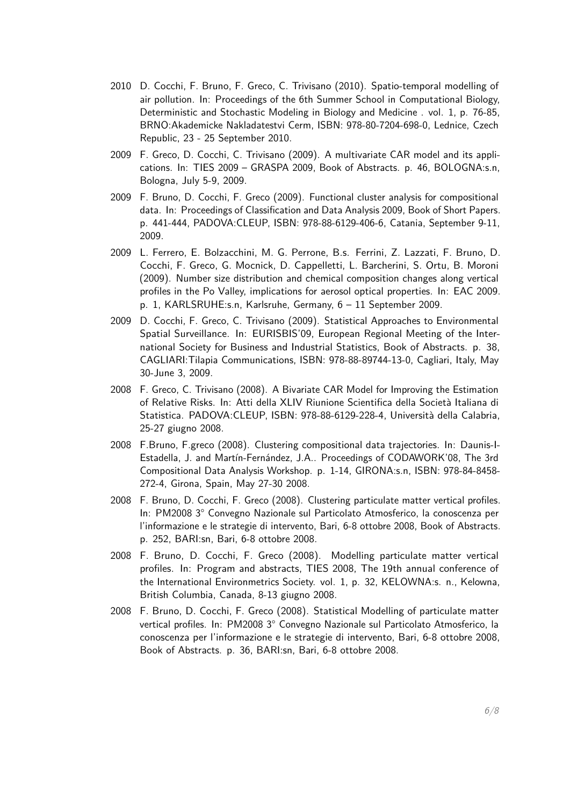- 2010 D. Cocchi, F. Bruno, F. Greco, C. Trivisano (2010). Spatio-temporal modelling of air pollution. In: Proceedings of the 6th Summer School in Computational Biology, Deterministic and Stochastic Modeling in Biology and Medicine . vol. 1, p. 76-85, BRNO:Akademicke Nakladatestvi Cerm, ISBN: 978-80-7204-698-0, Lednice, Czech Republic, 23 - 25 September 2010.
- 2009 F. Greco, D. Cocchi, C. Trivisano (2009). A multivariate CAR model and its applications. In: TIES 2009 – GRASPA 2009, Book of Abstracts. p. 46, BOLOGNA:s.n, Bologna, July 5-9, 2009.
- 2009 F. Bruno, D. Cocchi, F. Greco (2009). Functional cluster analysis for compositional data. In: Proceedings of Classification and Data Analysis 2009, Book of Short Papers. p. 441-444, PADOVA:CLEUP, ISBN: 978-88-6129-406-6, Catania, September 9-11, 2009.
- 2009 L. Ferrero, E. Bolzacchini, M. G. Perrone, B.s. Ferrini, Z. Lazzati, F. Bruno, D. Cocchi, F. Greco, G. Mocnick, D. Cappelletti, L. Barcherini, S. Ortu, B. Moroni (2009). Number size distribution and chemical composition changes along vertical profiles in the Po Valley, implications for aerosol optical properties. In: EAC 2009. p. 1, KARLSRUHE:s.n, Karlsruhe, Germany, 6 – 11 September 2009.
- 2009 D. Cocchi, F. Greco, C. Trivisano (2009). Statistical Approaches to Environmental Spatial Surveillance. In: EURISBIS'09, European Regional Meeting of the International Society for Business and Industrial Statistics, Book of Abstracts. p. 38, CAGLIARI:Tilapia Communications, ISBN: 978-88-89744-13-0, Cagliari, Italy, May 30-June 3, 2009.
- 2008 F. Greco, C. Trivisano (2008). A Bivariate CAR Model for Improving the Estimation of Relative Risks. In: Atti della XLIV Riunione Scientifica della Società Italiana di Statistica. PADOVA:CLEUP, ISBN: 978-88-6129-228-4, Università della Calabria, 25-27 giugno 2008.
- 2008 F.Bruno, F.greco (2008). Clustering compositional data trajectories. In: Daunis-I-Estadella, J. and Martín-Fernández, J.A.. Proceedings of CODAWORK'08, The 3rd Compositional Data Analysis Workshop. p. 1-14, GIRONA:s.n, ISBN: 978-84-8458- 272-4, Girona, Spain, May 27-30 2008.
- 2008 F. Bruno, D. Cocchi, F. Greco (2008). Clustering particulate matter vertical profiles. In: PM2008 3° Convegno Nazionale sul Particolato Atmosferico, la conoscenza per l'informazione e le strategie di intervento, Bari, 6-8 ottobre 2008, Book of Abstracts. p. 252, BARI:sn, Bari, 6-8 ottobre 2008.
- 2008 F. Bruno, D. Cocchi, F. Greco (2008). Modelling particulate matter vertical profiles. In: Program and abstracts, TIES 2008, The 19th annual conference of the International Environmetrics Society. vol. 1, p. 32, KELOWNA:s. n., Kelowna, British Columbia, Canada, 8-13 giugno 2008.
- 2008 F. Bruno, D. Cocchi, F. Greco (2008). Statistical Modelling of particulate matter vertical profiles. In: PM2008 3° Convegno Nazionale sul Particolato Atmosferico, la conoscenza per l'informazione e le strategie di intervento, Bari, 6-8 ottobre 2008, Book of Abstracts. p. 36, BARI:sn, Bari, 6-8 ottobre 2008.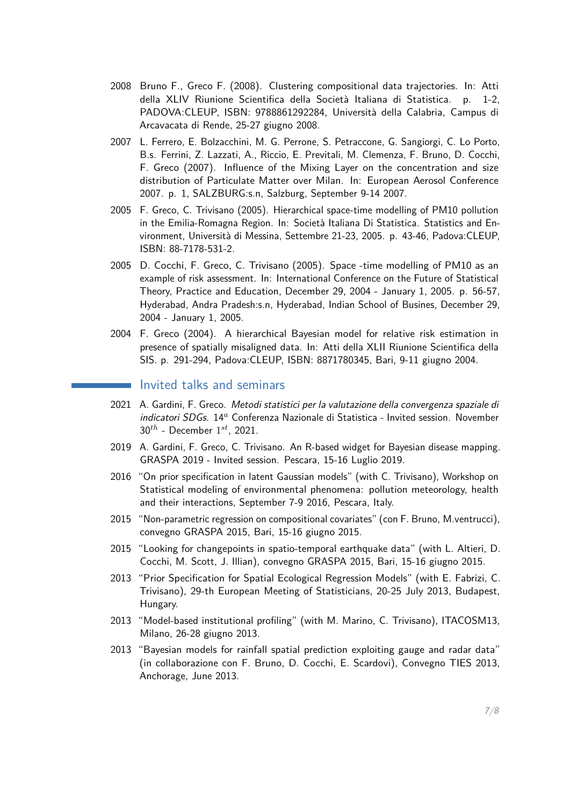- 2008 Bruno F., Greco F. (2008). Clustering compositional data trajectories. In: Atti della XLIV Riunione Scientifica della Società Italiana di Statistica. p. 1-2, PADOVA:CLEUP, ISBN: 9788861292284, Università della Calabria, Campus di Arcavacata di Rende, 25-27 giugno 2008.
- 2007 L. Ferrero, E. Bolzacchini, M. G. Perrone, S. Petraccone, G. Sangiorgi, C. Lo Porto, B.s. Ferrini, Z. Lazzati, A., Riccio, E. Previtali, M. Clemenza, F. Bruno, D. Cocchi, F. Greco (2007). Influence of the Mixing Layer on the concentration and size distribution of Particulate Matter over Milan. In: European Aerosol Conference 2007. p. 1, SALZBURG:s.n, Salzburg, September 9-14 2007.
- 2005 F. Greco, C. Trivisano (2005). Hierarchical space-time modelling of PM10 pollution in the Emilia-Romagna Region. In: Società Italiana Di Statistica. Statistics and Environment, Università di Messina, Settembre 21-23, 2005. p. 43-46, Padova:CLEUP, ISBN: 88-7178-531-2.
- 2005 D. Cocchi, F. Greco, C. Trivisano (2005). Space -time modelling of PM10 as an example of risk assessment. In: International Conference on the Future of Statistical Theory, Practice and Education, December 29, 2004 - January 1, 2005. p. 56-57, Hyderabad, Andra Pradesh:s.n, Hyderabad, Indian School of Busines, December 29, 2004 - January 1, 2005.
- 2004 F. Greco (2004). A hierarchical Bayesian model for relative risk estimation in presence of spatially misaligned data. In: Atti della XLII Riunione Scientifica della SIS. p. 291-294, Padova:CLEUP, ISBN: 8871780345, Bari, 9-11 giugno 2004.

#### Invited talks and seminars

- <span id="page-6-0"></span>2021 A. Gardini, F. Greco. Metodi statistici per la valutazione della convergenza spaziale di indicatori SDGs. 14*<sup>a</sup>* Conferenza Nazionale di Statistica - Invited session. November 30*th* - December 1 *st*, 2021.
- 2019 A. Gardini, F. Greco, C. Trivisano. An R-based widget for Bayesian disease mapping. GRASPA 2019 - Invited session. Pescara, 15-16 Luglio 2019.
- 2016 "On prior specification in latent Gaussian models" (with C. Trivisano), Workshop on Statistical modeling of environmental phenomena: pollution meteorology, health and their interactions, September 7-9 2016, Pescara, Italy.
- 2015 "Non-parametric regression on compositional covariates" (con F. Bruno, M.ventrucci), convegno GRASPA 2015, Bari, 15-16 giugno 2015.
- 2015 "Looking for changepoints in spatio-temporal earthquake data" (with L. Altieri, D. Cocchi, M. Scott, J. Illian), convegno GRASPA 2015, Bari, 15-16 giugno 2015.
- 2013 "Prior Specification for Spatial Ecological Regression Models" (with E. Fabrizi, C. Trivisano), 29-th European Meeting of Statisticians, 20-25 July 2013, Budapest, Hungary.
- 2013 "Model-based institutional profiling" (with M. Marino, C. Trivisano), ITACOSM13, Milano, 26-28 giugno 2013.
- 2013 "Bayesian models for rainfall spatial prediction exploiting gauge and radar data" (in collaborazione con F. Bruno, D. Cocchi, E. Scardovi), Convegno TIES 2013, Anchorage, June 2013.